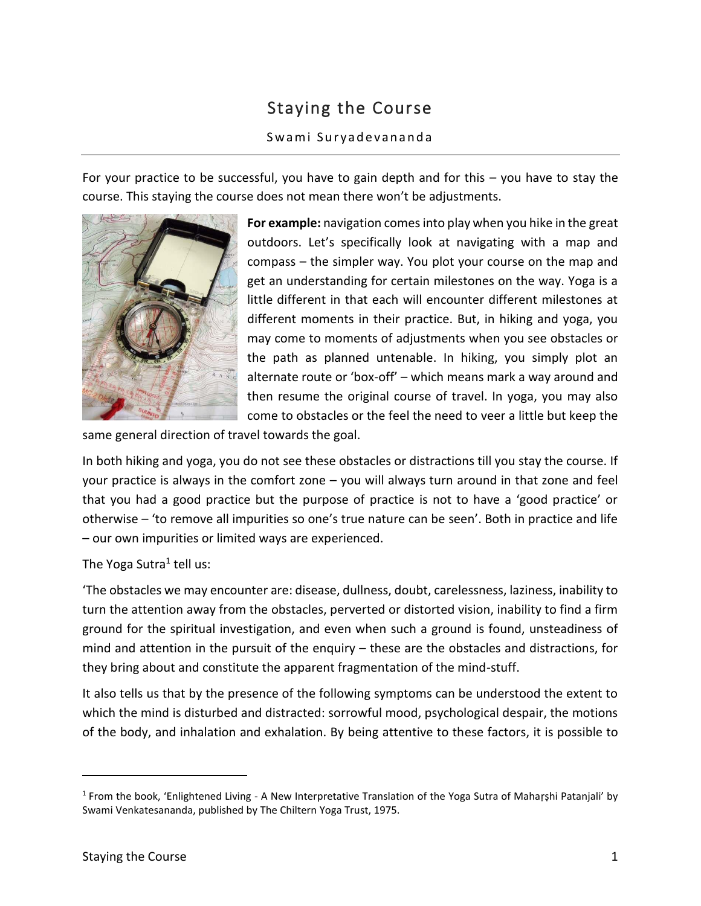## Staying the Course

## Swami Suryadevananda

For your practice to be successful, you have to gain depth and for this – you have to stay the course. This staying the course does not mean there won't be adjustments.



**For example:** navigation comes into play when you hike in the great outdoors. Let's specifically look at navigating with a map and compass – the simpler way. You plot your course on the map and get an understanding for certain milestones on the way. Yoga is a little different in that each will encounter different milestones at different moments in their practice. But, in hiking and yoga, you may come to moments of adjustments when you see obstacles or the path as planned untenable. In hiking, you simply plot an alternate route or 'box-off' – which means mark a way around and then resume the original course of travel. In yoga, you may also come to obstacles or the feel the need to veer a little but keep the

same general direction of travel towards the goal.

In both hiking and yoga, you do not see these obstacles or distractions till you stay the course. If your practice is always in the comfort zone – you will always turn around in that zone and feel that you had a good practice but the purpose of practice is not to have a 'good practice' or otherwise – 'to remove all impurities so one's true nature can be seen'. Both in practice and life – our own impurities or limited ways are experienced.

The Yoga Sutra<sup>1</sup> tell us:

'The obstacles we may encounter are: disease, dullness, doubt, carelessness, laziness, inability to turn the attention away from the obstacles, perverted or distorted vision, inability to find a firm ground for the spiritual investigation, and even when such a ground is found, unsteadiness of mind and attention in the pursuit of the enquiry – these are the obstacles and distractions, for they bring about and constitute the apparent fragmentation of the mind-stuff.

It also tells us that by the presence of the following symptoms can be understood the extent to which the mind is disturbed and distracted: sorrowful mood, psychological despair, the motions of the body, and inhalation and exhalation. By being attentive to these factors, it is possible to

 $\overline{a}$ 

<sup>&</sup>lt;sup>1</sup> From the book, 'Enlightened Living - A New Interpretative Translation of the Yoga Sutra of Mahaṛṣhi Patanjali' by Swami Venkatesananda, published by The Chiltern Yoga Trust, 1975.